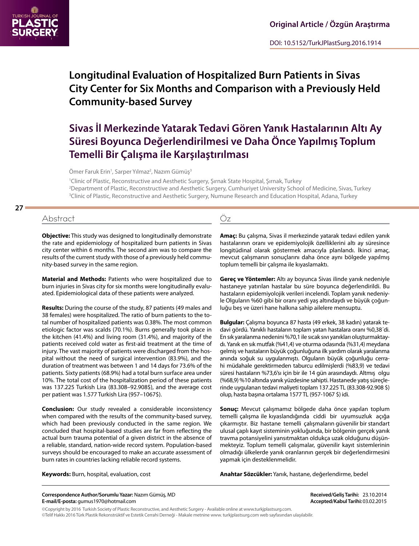

# **Longitudinal Evaluation of Hospitalized Burn Patients in Sivas City Center for Six Months and Comparison with a Previously Held Community-based Survey**

# **Sivas İl Merkezinde Yatarak Tedavi Gören Yanık Hastalarının Altı Ay Süresi Boyunca Değerlendirilmesi ve Daha Önce Yapılmış Toplum Temelli Bir Çalışma ile Karşılaştırılması**

Ömer Faruk Erin<sup>1</sup>, Sarper Yılmaz<sup>2</sup>, Nazım Gümüş<sup>3</sup>

1 Clinic of Plastic, Reconstructive and Aesthetic Surgery, Şırnak State Hospital, Şırnak, Turkey 2 Department of Plastic, Reconstructive and Aesthetic Surgery, Cumhuriyet University School of Medicine, Sivas, Turkey 3 Clinic of Plastic, Reconstructive and Aesthetic Surgery, Numune Research and Education Hospital, Adana, Turkey

## **27**

# Abstract Öz

**Objective:** This study was designed to longitudinally demonstrate the rate and epidemiology of hospitalized burn patients in Sivas city center within 6 months. The second aim was to compare the results of the current study with those of a previously held community-based survey in the same region.

**Material and Methods:** Patients who were hospitalized due to burn injuries in Sivas city for six months were longitudinally evaluated. Epidemiological data of these patients were analyzed.

**Results:** During the course of the study, 87 patients (49 males and 38 females) were hospitalized. The ratio of burn patients to the total number of hospitalized patients was 0.38%. The most common etiologic factor was scalds (70.1%). Burns generally took place in the kitchen (41.4%) and living room (31.4%), and majority of the patients received cold water as first-aid treatment at the time of injury. The vast majority of patients were discharged from the hospital without the need of surgical intervention (83.9%), and the duration of treatment was between 1 and 14 days for 73.6% of the patients. Sixty patients (68.9%) had a total burn surface area under 10%. The total cost of the hospitalization period of these patients was 137.225 Turkish Lira (83.308–92.908\$), and the average cost per patient was 1.577 Turkish Lira (957–1067\$).

**Conclusion:** Our study revealed a considerable inconsistency when compared with the results of the community-based survey, which had been previously conducted in the same region. We concluded that hospital-based studies are far from reflecting the actual burn trauma potential of a given district in the absence of a reliable, standard, nation-wide record system. Population-based surveys should be encouraged to make an accurate assessment of burn rates in countries lacking reliable record systems.

**Keywords:** Burn, hospital, evaluation, cost

**Amaç:** Bu çalışma, Sivas il merkezinde yatarak tedavi edilen yanık hastalarının oranı ve epidemiyolojik özelliklerini altı ay süresince longitüdinal olarak göstermek amacıyla planlandı. İkinci amaç, mevcut çalışmanın sonuçlarını daha önce aynı bölgede yapılmış toplum temelli bir çalışma ile kıyaslamaktı.

**Gereç ve Yöntemler:** Altı ay boyunca Sivas ilinde yanık nedeniyle hastaneye yatırılan hastalar bu süre boyunca değerlendirildi. Bu hastaların epidemiyolojik verileri incelendi. Toplam yanık nedeniyle Olguların %60 gibi bir oranı yedi yaş altındaydı ve büyük çoğunluğu beş ve üzeri hane halkına sahip ailelere mensuptu.

**Bulgular:** Çalışma boyunca 87 hasta (49 erkek, 38 kadın) yatarak tedavi gördü. Yanıklı hastaların toplam yatan hastalara oranı %0,38´di. En sık yaralanma nedenini %70,1 ile sıcak sıvı yanıkları oluşturmaktaydı. Yanık en sık mutfak (%41,4) ve oturma odasında (%31,4) meydana gelmiş ve hastaların büyük çoğunluğuna ilk yardım olarak yaralanma anında soğuk su uygulanmıştı. Olguların büyük çoğunluğu cerrahi müdahale gerektirmeden taburcu edilmişlerdi (%83,9) ve tedavi süresi hastaların %73,6'sı için bir ile 14 gün arasındaydı. Altmış olgu (%68,9) %10 altında yanık yüzdesine sahipti. Hastanede yatış süreçlerinde uygulanan tedavi maliyeti toplam 137.225 TL (83.308-92.908 \$) olup, hasta başına ortalama 1577 TL (957-1067 \$) idi.

**Sonuç:** Mevcut çalışmamız bölgede daha önce yapılan toplum temelli çalışma ile kıyaslandığında ciddi bir uyumsuzluk açığa çıkarmıştır. Biz hastane temelli çalışmaların güvenilir bir standart ulusal çaplı kayıt sisteminin yokluğunda, bir bölgenin gerçek yanık travma potansiyelini yansıtmaktan oldukça uzak olduğunu düşünmekteyiz. Toplum temelli çalışmalar, güvenilir kayıt sistemlerinin olmadığı ülkelerde yanık oranlarının gerçek bir değerlendirmesini yapmak için desteklenmelidir.

**Anahtar Sözcükler:** Yanık, hastane, değerlendirme, bedel

**Correspondence Author/Sorumlu Yazar:** Nazım Gümüş, MD **E-mail/E-posta:** gumus1970@hotmail.com

**Received/Geliş Tarihi:** 23.10.2014 **Accepted/Kabul Tarihi:**03.02.2015

©Copyright by 2016 Turkish Society of Plastic Reconstructive, and Aesthetic Surgery - Available online at www.turkjplastsurg.com. ©Telif Hakkı 2016 Türk Plastik Rekonstrüktif ve Estetik Cerrahi Derneği - Makale metnine www. turkjplastsurg.com web sayfasından ulaşılabilir.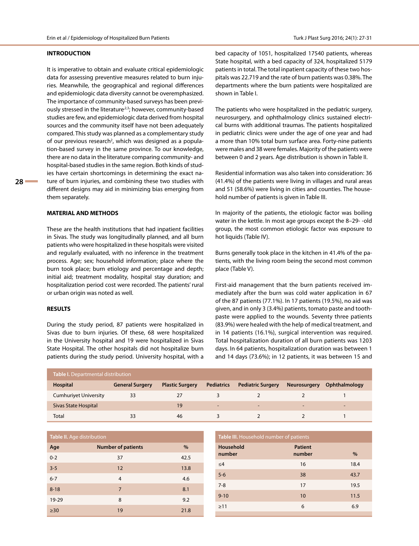#### **INTRODUCTION**

It is imperative to obtain and evaluate critical epidemiologic data for assessing preventive measures related to burn injuries. Meanwhile, the geographical and regional differences and epidemiologic data diversity cannot be overemphasized. The importance of community-based surveys has been previously stressed in the literature<sup>2,3</sup>; however, community-based studies are few, and epidemiologic data derived from hospital sources and the community itself have not been adequately compared. This study was planned as a complementary study of our previous research<sup>2</sup>, which was designed as a population-based survey in the same province. To our knowledge, there are no data in the literature comparing community- and hospital-based studies in the same region. Both kinds of studies have certain shortcomings in determining the exact nature of burn injuries, and combining these two studies with different designs may aid in minimizing bias emerging from them separately.

#### **MATERIAL AND METHODS**

These are the health institutions that had inpatient facilities in Sivas. The study was longitudinally planned, and all burn patients who were hospitalized in these hospitals were visited and regularly evaluated, with no inference in the treatment process. Age; sex; household information; place where the burn took place; burn etiology and percentage and depth; initial aid; treatment modality, hospital stay duration; and hospitalization period cost were recorded. The patients' rural or urban origin was noted as well.

#### **RESULTS**

During the study period, 87 patients were hospitalized in Sivas due to burn injuries. Of these, 68 were hospitalized in the University hospital and 19 were hospitalized in Sivas State Hospital. The other hospitals did not hospitalize burn patients during the study period. University hospital, with a bed capacity of 1051, hospitalized 17540 patients, whereas State hospital, with a bed capacity of 324, hospitalized 5179 patients in total. The total inpatient capacity of these two hospitals was 22.719 and the rate of burn patients was 0.38%. The departments where the burn patients were hospitalized are shown in Table I.

The patients who were hospitalized in the pediatric surgery, neurosurgery, and ophthalmology clinics sustained electrical burns with additional traumas. The patients hospitalized in pediatric clinics were under the age of one year and had a more than 10% total burn surface area. Forty-nine patients were males and 38 were females. Majority of the patients were between 0 and 2 years. Age distribution is shown in Table II.

Residential information was also taken into consideration: 36 (41.4%) of the patients were living in villages and rural areas and 51 (58.6%) were living in cities and counties. The household number of patients is given in Table III.

In majority of the patients, the etiologic factor was boiling water in the kettle. In most age groups except the 8–29- -old group, the most common etiologic factor was exposure to hot liquids (Table IV).

Burns generally took place in the kitchen in 41.4% of the patients, with the living room being the second most common place (Table V).

First-aid management that the burn patients received immediately after the burn was cold water application in 67 of the 87 patients (77.1%). In 17 patients (19.5%), no aid was given, and in only 3 (3.4%) patients, tomato paste and toothpaste were applied to the wounds. Seventy three patients (83.9%) were healed with the help of medical treatment, and in 14 patients (16.1%), surgical intervention was required. Total hospitalization duration of all burn patients was 1203 days. In 64 patients, hospitalization duration was between 1 and 14 days (73.6%); in 12 patients, it was between 15 and

| <b>Table I.</b> Departmental distribution ' |                        |                        |                          |                          |              |                          |  |
|---------------------------------------------|------------------------|------------------------|--------------------------|--------------------------|--------------|--------------------------|--|
| Hospital                                    | <b>General Surgery</b> | <b>Plastic Surgery</b> | <b>Pediatrics</b>        | <b>Pediatric Surgery</b> | Neurosurgery | Ophthalmology            |  |
| <b>Cumhurivet University</b>                | 33                     | 27                     |                          |                          |              |                          |  |
| Sivas State Hospital                        |                        | 19                     | $\overline{\phantom{0}}$ | $\overline{\phantom{0}}$ | -            | $\overline{\phantom{a}}$ |  |
| Total                                       | 33                     | 46                     |                          |                          |              |                          |  |

| <b>Table II.</b> Age distribution |                           |      |  |  |  |
|-----------------------------------|---------------------------|------|--|--|--|
| Age                               | <b>Number of patients</b> | $\%$ |  |  |  |
| $0 - 2$                           | 37                        | 42.5 |  |  |  |
| $3 - 5$                           | 12                        | 13.8 |  |  |  |
| $6 - 7$                           | 4                         | 4.6  |  |  |  |
| $8 - 18$                          | $\overline{7}$            | 8.1  |  |  |  |
| 19-29                             | 8                         | 9.2  |  |  |  |
| >30                               | 19                        | 21.8 |  |  |  |

| <b>Table III.</b> Household number of patients |                          |      |  |  |  |  |
|------------------------------------------------|--------------------------|------|--|--|--|--|
| Household<br>number                            | <b>Patient</b><br>number | $\%$ |  |  |  |  |
| $\leq 4$                                       | 16                       | 18.4 |  |  |  |  |
| $5-6$                                          | 38                       | 43.7 |  |  |  |  |
| $7 - 8$                                        | 17                       | 19.5 |  |  |  |  |
| $9 - 10$                                       | 10                       | 11.5 |  |  |  |  |
| $\geq$ 11                                      | 6                        | 6.9  |  |  |  |  |
|                                                |                          |      |  |  |  |  |

**28**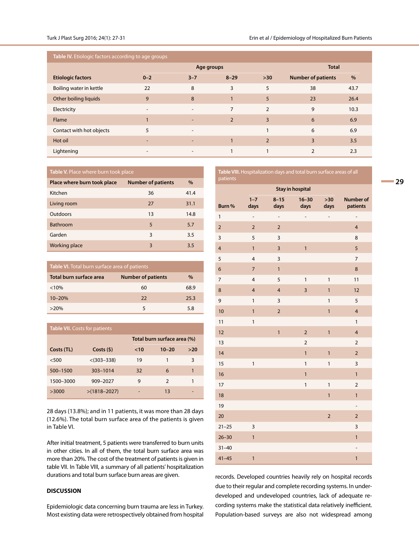**Table IV.** Etiologic factors according to age groups

|                          |                          | Age groups               |                |               | <b>Total</b>              |      |
|--------------------------|--------------------------|--------------------------|----------------|---------------|---------------------------|------|
| <b>Etiologic factors</b> | $0 - 2$                  | $3 - 7$                  | $8 - 29$       | $>30$         | <b>Number of patients</b> | $\%$ |
| Boiling water in kettle  | 22                       | 8                        | 3              | 5             | 38                        | 43.7 |
| Other boiling liquids    | 9                        | 8                        |                | 5             | 23                        | 26.4 |
| Electricity              | $\overline{\phantom{a}}$ | $\overline{\phantom{a}}$ | $\overline{7}$ | $\mathcal{P}$ | 9                         | 10.3 |
| Flame                    |                          | $\overline{\phantom{a}}$ | $\overline{2}$ | 3             | 6                         | 6.9  |
| Contact with hot objects | 5                        | $\overline{\phantom{a}}$ |                | 1             | 6                         | 6.9  |
| Hot oil                  | -                        | $\overline{\phantom{0}}$ |                | $\mathcal{P}$ | 3                         | 3.5  |
| Lightening               | $\overline{\phantom{a}}$ | $\overline{\phantom{a}}$ |                |               | $\overline{2}$            | 2.3  |

| <b>Table V.</b> Place where burn took place |
|---------------------------------------------|
|---------------------------------------------|

| Place where burn took place | <b>Number of patients</b> | $\%$ |
|-----------------------------|---------------------------|------|
| Kitchen                     | 36                        | 41.4 |
| Living room                 | 27                        | 31.1 |
| Outdoors                    | 13                        | 14.8 |
| <b>Bathroom</b>             | 5                         | 5.7  |
| Garden                      | 3                         | 3.5  |
| <b>Working place</b>        | 3                         | 3.5  |

| Table VI. Total burn surface area of patients |                           |      |  |  |  |
|-----------------------------------------------|---------------------------|------|--|--|--|
| Total burn surface area                       | <b>Number of patients</b> | $\%$ |  |  |  |
| $< 10\%$                                      | 60                        | 68.9 |  |  |  |
| $10 - 20%$                                    | 22                        | 25.3 |  |  |  |
| $>20\%$                                       | 5                         | 5.8  |  |  |  |

| <b>Table VII.</b> Costs for patients |                  |     |                             |     |  |  |  |
|--------------------------------------|------------------|-----|-----------------------------|-----|--|--|--|
|                                      |                  |     | Total burn surface area (%) |     |  |  |  |
| Costs (TL)                           | Costs(5)         | <10 | $10 - 20$                   | >20 |  |  |  |
| $<$ 500                              | $< (303 - 338)$  | 19  | 1                           | 3   |  |  |  |
| 500-1500                             | 303-1014         | 32  | 6                           | 1   |  |  |  |
| 1500-3000                            | 909-2027         | 9   | $\mathcal{P}$               | 1   |  |  |  |
| >3000                                | $>(1818 - 2027)$ |     | 13                          |     |  |  |  |

28 days (13.8%); and in 11 patients, it was more than 28 days (12.6%). The total burn surface area of the patients is given in Table VI.

After initial treatment, 5 patients were transferred to burn units in other cities. In all of them, the total burn surface area was more than 20%. The cost of the treatment of patients is given in table VII. In Table VIII, a summary of all patients' hospitalization durations and total burn surface burn areas are given.

### **DISCUSSION**

Epidemiologic data concerning burn trauma are less in Turkey. Most existing data were retrospectively obtained from hospital

| Table VIII. Hospitalization days and total burn surface areas of all<br>patients |                          |                   |                   |               |                              |  |  |
|----------------------------------------------------------------------------------|--------------------------|-------------------|-------------------|---------------|------------------------------|--|--|
| <b>Stay in hospital</b>                                                          |                          |                   |                   |               |                              |  |  |
| Burn %                                                                           | $1 - 7$<br>days          | $8 - 15$<br>days  | $16 - 30$<br>days | $>30$<br>days | <b>Number of</b><br>patients |  |  |
| 1                                                                                | $\overline{\phantom{0}}$ | $\qquad \qquad -$ | -                 | -             | $\overline{\phantom{m}}$     |  |  |
| $\overline{2}$                                                                   | $\overline{2}$           | $\overline{2}$    |                   |               | $\overline{4}$               |  |  |
| 3                                                                                | 5                        | 3                 |                   |               | 8                            |  |  |
| $\overline{\mathbf{4}}$                                                          | $\mathbf{1}$             | $\mathsf 3$       | $\mathbf{1}$      |               | $\overline{5}$               |  |  |
| 5                                                                                | $\overline{\mathbf{4}}$  | 3                 |                   |               | $\overline{7}$               |  |  |
| 6                                                                                | $\overline{7}$           | $\mathbf{1}$      |                   |               | $\bf 8$                      |  |  |
| $\overline{7}$                                                                   | $\overline{\mathbf{4}}$  | 5                 | 1                 | $\mathbf{1}$  | 11                           |  |  |
| 8                                                                                | $\overline{\mathbf{4}}$  | $\overline{4}$    | 3                 | $\mathbf{1}$  | 12                           |  |  |
| 9                                                                                | $\mathbf{1}$             | 3                 |                   | 1             | 5                            |  |  |
| 10                                                                               | $\mathbf{1}$             | $\mathbf 2$       |                   | $\mathbf{1}$  | $\overline{4}$               |  |  |
| 11                                                                               | $\mathbf{1}$             |                   |                   |               | $\mathbf{1}$                 |  |  |
| 12                                                                               |                          | $\mathbf{1}$      | $\overline{2}$    | $\mathbf{1}$  | $\overline{4}$               |  |  |
| 13                                                                               |                          |                   | $\overline{2}$    |               | $\overline{2}$               |  |  |
| 14                                                                               |                          |                   | $\overline{1}$    | $\mathbf{1}$  | $\overline{2}$               |  |  |
| 15                                                                               | 1                        |                   | $\mathbf{1}$      | 1             | 3                            |  |  |
| 16                                                                               |                          |                   | $\mathbf{1}$      |               | $\mathbf{1}$                 |  |  |
| 17                                                                               |                          |                   | $\mathbf{1}$      | 1             | $\overline{2}$               |  |  |
| 18                                                                               |                          |                   |                   | $\mathbf{1}$  | $\mathbf{1}$                 |  |  |
| 19                                                                               |                          |                   |                   |               | $\overline{\phantom{a}}$     |  |  |
| 20                                                                               |                          |                   |                   | $\mathbf 2$   | $\overline{2}$               |  |  |
| $21 - 25$                                                                        | 3                        |                   |                   |               | 3                            |  |  |
| $26 - 30$                                                                        | $\mathbf{1}$             |                   |                   |               | $\mathbf{1}$                 |  |  |
| $31 - 40$                                                                        |                          |                   |                   |               | -                            |  |  |
| $41 - 45$                                                                        | 1                        |                   |                   |               | $\mathbf{1}$                 |  |  |

records. Developed countries heavily rely on hospital records due to their regular and complete recording systems. In underdeveloped and undeveloped countries, lack of adequate recording systems make the statistical data relatively inefficient. Population-based surveys are also not widespread among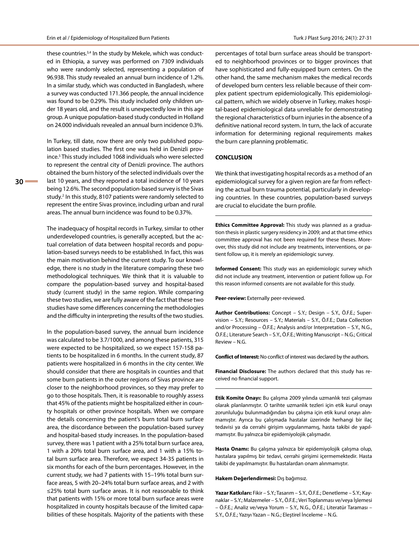these countries.<sup>3,4</sup> In the study by Mekele, which was conducted in Ethiopia, a survey was performed on 7309 individuals who were randomly selected, representing a population of 96.938. This study revealed an annual burn incidence of 1.2%. In a similar study, which was conducted in Bangladesh, where a survey was conducted 171.366 people, the annual incidence was found to be 0.29%. This study included only children under 18 years old, and the result is unexpectedly low in this age group. A unique population-based study conducted in Holland on 24.000 individuals revealed an annual burn incidence 0.3%.

In Turkey, till date, now there are only two published population based studies. The first one was held in Denizli province.5 This study included 1068 individuals who were selected to represent the central city of Denizli province. The authors obtained the burn history of the selected individuals over the last 10 years, and they reported a total incidence of 10 years being 12.6%. The second population-based survey is the Sivas study.<sup>2</sup> In this study, 8107 patients were randomly selected to represent the entire Sivas province, including urban and rural areas. The annual burn incidence was found to be 0.37%.

The inadequacy of hospital records in Turkey, similar to other underdeveloped countries, is generally accepted, but the actual correlation of data between hospital records and population-based surveys needs to be established. In fact, this was the main motivation behind the current study. To our knowledge, there is no study in the literature comparing these two methodological techniques. We think that it is valuable to compare the population-based survey and hospital-based study (current study) in the same region. While comparing these two studies, we are fully aware of the fact that these two studies have some differences concerning the methodologies and the difficulty in interpreting the results of the two studies.

In the population-based survey, the annual burn incidence was calculated to be 3.7/1000, and among these patients, 315 were expected to be hospitalized, so we expect 157-158 patients to be hospitalized in 6 months. In the current study, 87 patients were hospitalized in 6 months in the city center. We should consider that there are hospitals in counties and that some burn patients in the outer regions of Sivas province are closer to the neighborhood provinces, so they may prefer to go to those hospitals. Then, it is reasonable to roughly assess that 45% of the patients might be hospitalized either in county hospitals or other province hospitals. When we compare the details concerning the patient's burn total burn surface area, the discordance between the population-based survey and hospital-based study increases. In the population-based survey, there was 1 patient with a 25% total burn surface area, 1 with a 20% total burn surface area, and 1 with a 15% total burn surface area. Therefore, we expect 34-35 patients in six months for each of the burn percentages. However, in the current study, we had 7 patients with 15–19% total burn surface areas, 5 with 20–24% total burn surface areas, and 2 with ≤25% total burn surface areas. It is not reasonable to think that patients with 15% or more total burn surface areas were hospitalized in county hospitals because of the limited capabilities of these hospitals. Majority of the patients with these

percentages of total burn surface areas should be transported to neighborhood provinces or to bigger provinces that have sophisticated and fully-equipped burn centers. On the other hand, the same mechanism makes the medical records of developed burn centers less reliable because of their complex patient spectrum epidemiologically. This epidemiological pattern, which we widely observe in Turkey, makes hospital-based epidemiological data unreliable for demonstrating the regional characteristics of burn injuries in the absence of a definitive national record system. In turn, the lack of accurate information for determining regional requirements makes the burn care planning problematic.

### **CONCLUSION**

We think that investigating hospital records as a method of an epidemiological survey for a given region are far from reflecting the actual burn trauma potential, particularly in developing countries. In these countries, population-based surveys are crucial to elucidate the burn profile.

**Ethics Committee Approval:** This study was planned as a graduation thesis in plastic surgery residency in 2009; and at that time ethics committee approval has not been required for these theses. Moreover, this study did not include any treatments, interventions, or patient follow up, it is merely an epidemiologic survey.

**Informed Consent:** This study was an epidemiologic survey which did not include any treatment, intervention or patient follow up. For this reason informed consents are not available for this study.

**Peer-review:** Externally peer-reviewed.

**Author Contributions:** Concept – S.Y.; Design – S.Y., Ö.F.E.; Supervision – S.Y.; Resources – S.Y.; Materials – S.Y., Ö.F.E.; Data Collection and/or Processing – Ö.F.E.; Analysis and/or Interpretation – S.Y., N.G., Ö.F.E.; Literature Search – S.Y., Ö.F.E.; Writing Manuscript – N.G.; Critical Review – N.G.

**Conflict of Interest:** No conflict of interest was declared by the authors.

**Financial Disclosure:** The authors declared that this study has received no financial support.

**Etik Komite Onayı:** Bu çalışma 2009 yılında uzmanlık tezi çalışması olarak planlanmıştır. O tarihte uzmanlık tezleri için etik kurul onayı zorunluluğu bulunmadığından bu çalışma için etik kurul onayı alınmamıştır. Ayrıca bu çalışmada hastalar üzerinde herhangi bir ilaç tedavisi ya da cerrahi girişim uygulanmamış, hasta takibi de yapılmamıştır. Bu yalnızca bir epidemiyolojik çalışmadır.

**Hasta Onamı:** Bu çalışma yalnızca bir epidemiyolojik çalışma olup, hastalara yapılmış bir tedavi, cerrahi girişimi içermemektedir. Hasta takibi de yapılmamıştır. Bu hastalardan onam alınmamıştır.

#### **Hakem Değerlendirmesi:** Dış bağımsız.

**Yazar Katkıları:** Fikir – S.Y.; Tasarım – S.Y., Ö.F.E.; Denetleme – S.Y.; Kaynaklar – S.Y.; Malzemeler – S.Y., Ö.F.E.; Veri Toplanması ve/veya İşlemesi – Ö.F.E.; Analiz ve/veya Yorum – S.Y., N.G., Ö.F.E.; Literatür Taraması – S.Y., Ö.F.E.; Yazıyı Yazan – N.G.; Eleştirel İnceleme – N.G.

**30**